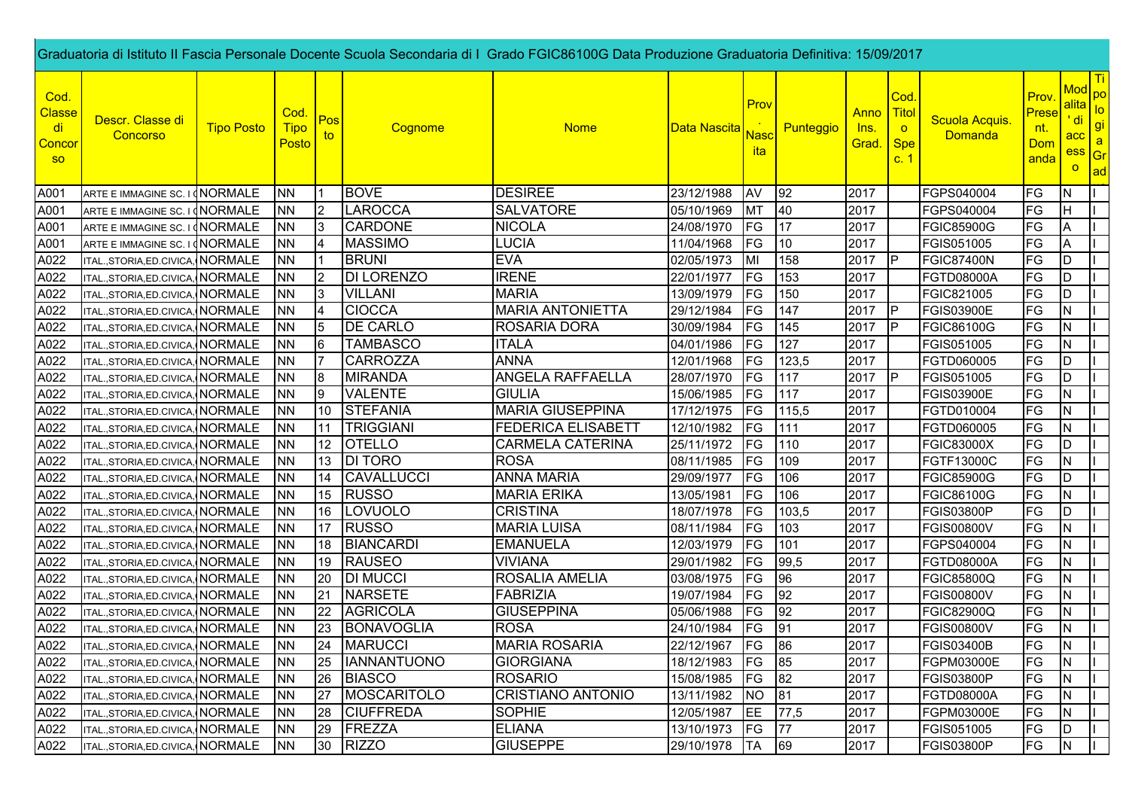|                                             | Graduatoria di Istituto II Fascia Personale Docente Scuola Secondaria di I Grado FGIC86100G Data Produzione Graduatoria Definitiva: 15/09/2017 |                   |                              |                 |                   |                           |                      |                                         |           |                                    |                                                      |                                  |                                      |                                                               |                                       |
|---------------------------------------------|------------------------------------------------------------------------------------------------------------------------------------------------|-------------------|------------------------------|-----------------|-------------------|---------------------------|----------------------|-----------------------------------------|-----------|------------------------------------|------------------------------------------------------|----------------------------------|--------------------------------------|---------------------------------------------------------------|---------------------------------------|
| Cod.<br>Classe<br><u>di</u><br>Concor<br>SO | Descr. Classe di<br>Concorso                                                                                                                   | <b>Tipo Posto</b> | Cod.<br><b>Tipo</b><br>Posto | Pos<br>to       | Cognome           | <b>Nome</b>               | Data Nascita         | Prov<br><mark>Nasc</mark><br><u>ita</u> | Punteggio | Anno Titol<br><u>Ins.</u><br>Grad. | Cod.<br>$\overline{\mathbf{o}}$<br><b>Spe</b><br>c.1 | Scuola Acquis.<br><b>Domanda</b> | Prov.<br>Prese<br>nt.<br>Dom<br>anda | Mod <sub>po</sub><br>alita  <br>' di<br>acc<br>ess<br>$\circ$ | $I_{\text{O}}$<br>gi<br>a<br>Gr<br>ad |
| A001                                        | ARTE E IMMAGINE SC. I (NORMALE                                                                                                                 |                   | <b>NN</b>                    |                 | <b>BOVE</b>       | <b>DESIREE</b>            | 23/12/1988           | AV                                      | 92        | 2017                               |                                                      | FGPS040004                       | FG                                   | N                                                             |                                       |
| A001                                        | ARTE E IMMAGINE SC. I (NORMALE                                                                                                                 |                   | <b>NN</b>                    | $\overline{2}$  | LAROCCA           | <b>SALVATORE</b>          | 05/10/1969           | MT                                      | 40        | 2017                               |                                                      | FGPS040004                       | FG                                   | H                                                             |                                       |
| A001                                        | ARTE E IMMAGINE SC. I (NORMALE                                                                                                                 |                   | <b>NN</b>                    | 13              | <b>CARDONE</b>    | <b>NICOLA</b>             | 24/08/1970           | FG                                      | 17        | 2017                               |                                                      | <b>FGIC85900G</b>                | FG                                   | A                                                             |                                       |
| A001                                        | ARTE E IMMAGINE SC. I (NORMALE                                                                                                                 |                   | <b>NN</b>                    | 4               | <b>MASSIMO</b>    | <b>LUCIA</b>              | 11/04/1968           | FG                                      | 10        | 2017                               |                                                      | FGIS051005                       | <b>FG</b>                            | Α                                                             |                                       |
| A022                                        | TAL., STORIA, ED. CIVICA, NORMALE                                                                                                              |                   | <b>NN</b>                    |                 | <b>BRUNI</b>      | <b>EVA</b>                | 02/05/1973           | MI                                      | 158       | 2017                               |                                                      | <b>FGIC87400N</b>                | FG                                   | D                                                             |                                       |
| A022                                        | TAL., STORIA, ED. CIVICA, NORMALE                                                                                                              |                   | <b>NN</b>                    | $\overline{2}$  | <b>DI LORENZO</b> | <b>IRENE</b>              | 22/01/1977           | <b>FG</b>                               | 153       | 2017                               |                                                      | <b>FGTD08000A</b>                | <b>FG</b>                            | D                                                             |                                       |
| A022                                        | TAL., STORIA, ED. CIVICA, NORMALE                                                                                                              |                   | <b>NN</b>                    | $\overline{3}$  | <b>VILLANI</b>    | <b>MARIA</b>              | 13/09/1979           | FG                                      | 150       | 2017                               |                                                      | FGIC821005                       | <b>FG</b>                            | D                                                             |                                       |
| A022                                        | TAL., STORIA, ED. CIVICA, NORMALE                                                                                                              |                   | <b>NN</b>                    | 4               | <b>CIOCCA</b>     | <b>MARIA ANTONIETTA</b>   | 29/12/1984           | FG                                      | 147       | 2017                               | <b>P</b>                                             | <b>FGIS03900E</b>                | <b>FG</b>                            | N                                                             |                                       |
| A022                                        | ITAL., STORIA, ED. CIVICA, NORMALE                                                                                                             |                   | <b>NN</b>                    | 5               | <b>DE CARLO</b>   | ROSARIA DORA              | 30/09/1984           | FG                                      | 145       | 2017                               | P                                                    | <b>FGIC86100G</b>                | FG                                   | N                                                             |                                       |
| A022                                        | TAL., STORIA, ED. CIVICA, NORMALE                                                                                                              |                   | <b>NN</b>                    | 6               | <b>TAMBASCO</b>   | <b>ITALA</b>              | 04/01/1986           | FG                                      | 127       | 2017                               |                                                      | FGIS051005                       | <b>FG</b>                            | N                                                             |                                       |
| A022                                        | TAL.,STORIA,ED.CIVICA,                                                                                                                         | <b>NORMALE</b>    | <b>NN</b>                    |                 | <b>CARROZZA</b>   | <b>ANNA</b>               | 12/01/1968           | FG                                      | 123,5     | 2017                               |                                                      | FGTD060005                       | FG                                   | D                                                             |                                       |
| A022                                        | TAL., STORIA, ED. CIVICA, NORMALE                                                                                                              |                   | <b>NN</b>                    | 8               | <b>MIRANDA</b>    | ANGELA RAFFAELLA          | 28/07/1970           | FG                                      | 117       | 2017                               | P                                                    | FGIS051005                       | FG                                   | D                                                             |                                       |
| A022                                        | TAL., STORIA, ED. CIVICA, NORMALE                                                                                                              |                   | <b>NN</b>                    | 9               | <b>VALENTE</b>    | <b>GIULIA</b>             | 15/06/1985           | FG                                      | 117       | 2017                               |                                                      | <b>FGIS03900E</b>                | FG                                   | N                                                             |                                       |
| A022                                        | TAL., STORIA, ED. CIVICA, NORMALE                                                                                                              |                   | <b>NN</b>                    | 10              | <b>STEFANIA</b>   | <b>MARIA GIUSEPPINA</b>   | 17/12/1975           | FG                                      | 115,5     | 2017                               |                                                      | FGTD010004                       | FG                                   | N                                                             |                                       |
| A022                                        | ITAL., STORIA, ED. CIVICA, NORMALE                                                                                                             |                   | <b>NN</b>                    | 11              | <b>TRIGGIANI</b>  | <b>FEDERICA ELISABETT</b> | 12/10/1982           | FG                                      | 111       | 2017                               |                                                      | FGTD060005                       | FG                                   | IN.                                                           |                                       |
| A022                                        | TAL., STORIA, ED. CIVICA, NORMALE                                                                                                              |                   | <b>NN</b>                    | 12 <sup>°</sup> | <b>OTELLO</b>     | <b>CARMELA CATERINA</b>   | 25/11/1972           | FG                                      | 110       | 2017                               |                                                      | <b>FGIC83000X</b>                | <b>FG</b>                            | D                                                             |                                       |
| A022                                        | TAL., STORIA, ED. CIVICA, NORMALE                                                                                                              |                   | <b>NN</b>                    | 13              | <b>DI TORO</b>    | <b>ROSA</b>               | 08/11/1985           | FG                                      | 109       | 2017                               |                                                      | <b>FGTF13000C</b>                | FG                                   | N.                                                            |                                       |
| A022                                        | TAL., STORIA, ED. CIVICA, NORMALE                                                                                                              |                   | <b>NN</b>                    | 14              | CAVALLUCCI        | <b>ANNA MARIA</b>         | 29/09/1977           | FG                                      | 106       | 2017                               |                                                      | <b>FGIC85900G</b>                | <b>FG</b>                            | D                                                             |                                       |
| A022                                        | TAL., STORIA, ED. CIVICA, NORMALE                                                                                                              |                   | <b>NN</b>                    | 15              | <b>RUSSO</b>      | <b>MARIA ERIKA</b>        | 13/05/1981           | FG                                      | 106       | 2017                               |                                                      | <b>FGIC86100G</b>                | <b>FG</b>                            | IN.                                                           |                                       |
| A022                                        | TAL., STORIA, ED. CIVICA, NORMALE                                                                                                              |                   | <b>NN</b>                    | 16              | LOVUOLO           | <b>CRISTINA</b>           | 18/07/1978           | FG                                      | 103,5     | 2017                               |                                                      | <b>FGIS03800P</b>                | <b>FG</b>                            | D                                                             |                                       |
| A022                                        | ITAL.,STORIA,ED.CIVICA, NORMALE                                                                                                                |                   | <b>NN</b>                    | 17              | <b>RUSSO</b>      | <b>MARIA LUISA</b>        | 08/11/1984           | FG                                      | 103       | 2017                               |                                                      | <b>FGIS00800V</b>                | FG                                   | N                                                             |                                       |
| A022                                        | ITAL., STORIA, ED. CIVICA, NORMALE                                                                                                             |                   | <b>NN</b>                    | 18              | <b>BIANCARDI</b>  | <b>EMANUELA</b>           | 12/03/1979           | FG                                      | 101       | 2017                               |                                                      | FGPS040004                       | <b>FG</b>                            | N                                                             |                                       |
| A022                                        | TAL.,STORIA,ED.CIVICA,                                                                                                                         | NORMALE           | <b>NN</b>                    | 19              | <b>RAUSEO</b>     | <b>VIVIANA</b>            | 29/01/1982           | FG                                      | 99,5      | 2017                               |                                                      | FGTD08000A                       | FG                                   | N                                                             |                                       |
| A022                                        | TAL., STORIA, ED. CIVICA, NORMALE                                                                                                              |                   | <b>NN</b>                    | 20              | <b>DI MUCCI</b>   | ROSALIA AMELIA            | 03/08/1975           | FG                                      | 96        | 2017                               |                                                      | <b>FGIC85800Q</b>                | FG                                   | N                                                             |                                       |
| A022                                        | TAL., STORIA, ED. CIVICA, NORMALE                                                                                                              |                   | <b>NN</b>                    | 21              | <b>NARSETE</b>    | <b>FABRIZIA</b>           | 19/07/1984           | FG                                      | 92        | 2017                               |                                                      | <b>FGIS00800V</b>                | <b>FG</b>                            | N                                                             |                                       |
| A022                                        | ITAL.,STORIA,ED.CIVICA, NORMALE                                                                                                                |                   | <b>NN</b>                    | 22              | AGRICOLA          | <b>GIUSEPPINA</b>         | 05/06/1988           | FG                                      | 92        | 2017                               |                                                      | <b>FGIC82900Q</b>                | FG                                   | N                                                             |                                       |
| A022                                        | ITAL., STORIA, ED. CIVICA, NORMALE                                                                                                             |                   | <b>NN</b>                    | 23              | BONAVOGLIA        | <b>ROSA</b>               | 24/10/1984           | FG                                      | 91        | 2017                               |                                                      | <b>FGIS00800V</b>                | FG                                   | N                                                             |                                       |
| A022                                        | ITAL., STORIA, ED. CIVICA, NORMALE                                                                                                             |                   | <b>NN</b>                    |                 | 24 MARUCCI        | <b>MARIA ROSARIA</b>      | 22/12/1967 FG 86     |                                         |           | 2017                               |                                                      | <b>FGIS03400B</b>                | FG                                   | $\overline{N}$                                                |                                       |
| A022                                        | ITAL., STORIA, ED. CIVICA, NORMALE                                                                                                             |                   | <b>NN</b>                    |                 | 25  IANNANTUONO   | <b>GIORGIANA</b>          | 18/12/1983   FG   85 |                                         |           | 2017                               |                                                      | FGPM03000E                       | <b>IFG</b>                           | IN.                                                           |                                       |
| A022                                        | ITAL., STORIA, ED. CIVICA, NORMALE                                                                                                             |                   | <b>NN</b>                    | 26              | BIASCO            | <b>ROSARIO</b>            | 15/08/1985           | <b>FG</b>                               | 82        | 2017                               |                                                      | <b>FGIS03800P</b>                | <b>FG</b>                            | IN.                                                           |                                       |
| A022                                        | ITAL.,STORIA,ED.CIVICA, NORMALE                                                                                                                |                   | <b>NN</b>                    | 27              | MOSCARITOLO       | <b>CRISTIANO ANTONIO</b>  | 13/11/1982           | <b>NO</b>                               | 81        | 2017                               |                                                      | <b>FGTD08000A</b>                | <b>FG</b>                            | IN.                                                           |                                       |
| A022                                        | ITAL.,STORIA,ED.CIVICA, NORMALE                                                                                                                |                   | <b>NN</b>                    | 28              | <b>CIUFFREDA</b>  | <b>SOPHIE</b>             | 12/05/1987           | <b>JEE</b>                              | 77,5      | 2017                               |                                                      | FGPM03000E                       | FG                                   |                                                               |                                       |
| A022                                        | ITAL., STORIA, ED. CIVICA, NORMALE                                                                                                             |                   | <b>NN</b>                    | 29              | FREZZA            | <b>ELIANA</b>             | 13/10/1973           | FG                                      | 77        | 2017                               |                                                      | FGIS051005                       | FG                                   | D                                                             |                                       |
| A022                                        | ITAL., STORIA, ED. CIVICA, NORMALE                                                                                                             |                   | <b>NN</b>                    | 30              | RIZZO             | <b>GIUSEPPE</b>           | 29/10/1978           | <b>TA</b>                               | 69        | 2017                               |                                                      | <b>FGIS03800P</b>                | FG                                   | <b>N</b>                                                      |                                       |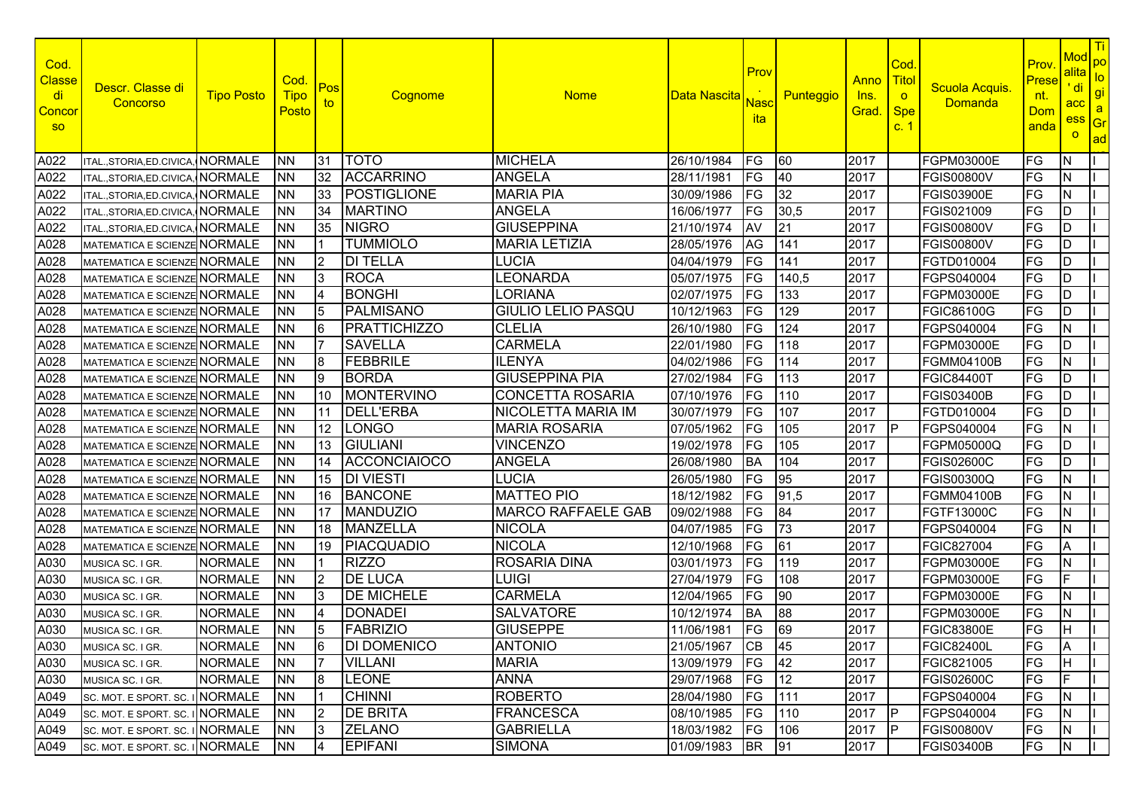| Cod.<br><b>Classe</b><br>di<br><u>Concor</u><br><b>SO</b> | Descr. Classe di<br><b>Concorso</b> | <b>Tipo Posto</b> | Cod.<br><b>Tipo</b><br>Posto | Pos<br>to       | Cognome             | <b>Nome</b>               | Data Nascita  | Prov<br><b>Nasc</b><br><b>ita</b> | Punteggio | <u>Anno</u><br>lns.<br>Grad. | Cod.<br>Titol<br>$\circ$<br><b>Spe</b><br>c.1 | Scuola Acquis.<br>Domanda | Prov<br>Prese<br><u>nt.</u><br><b>Dom</b><br>anda | Mod<br><u>alital</u><br>' di<br>acc<br>ess<br>$\overline{O}$ | <mark>l Ti</mark><br>po<br>$\overline{10}$<br>gi<br>a<br>Gr<br>ad |
|-----------------------------------------------------------|-------------------------------------|-------------------|------------------------------|-----------------|---------------------|---------------------------|---------------|-----------------------------------|-----------|------------------------------|-----------------------------------------------|---------------------------|---------------------------------------------------|--------------------------------------------------------------|-------------------------------------------------------------------|
| A022                                                      | ITAL.,STORIA,ED.CIVICA,             | <b>NORMALE</b>    | <b>NN</b>                    | 31              | <b>TOTO</b>         | <b>MICHELA</b>            | 26/10/1984    | FG                                | 60        | 2017                         |                                               | <b>FGPM03000E</b>         | FG                                                | N                                                            |                                                                   |
| A022                                                      | ITAL., STORIA, ED. CIVICA           | <b>NORMALE</b>    | <b>NN</b>                    | 32              | <b>ACCARRINO</b>    | <b>ANGELA</b>             | 28/11/1981    | FG                                | 40        | 2017                         |                                               | <b>FGIS00800V</b>         | FG                                                | ΙN                                                           |                                                                   |
| A022                                                      | ITAL., STORIA, ED. CIVICA,          | <b>NORMALE</b>    | <b>NN</b>                    | 33              | <b>POSTIGLIONE</b>  | <b>MARIA PIA</b>          | 30/09/1986    | FG                                | 32        | 2017                         |                                               | <b>FGIS03900E</b>         | FG                                                | N                                                            |                                                                   |
| A022                                                      | ITAL., STORIA, ED. CIVICA,          | <b>NORMALE</b>    | <b>NN</b>                    | 34              | <b>MARTINO</b>      | <b>ANGELA</b>             | 16/06/1977    | FG                                | 30,5      | 2017                         |                                               | FGIS021009                | FG                                                | D                                                            |                                                                   |
| A022                                                      | ITAL., STORIA, ED. CIVICA,          | <b>NORMALE</b>    | <b>NN</b>                    | 35              | <b>NIGRO</b>        | <b>GIUSEPPINA</b>         | 21/10/1974    | AV                                | 21        | 2017                         |                                               | <b>FGIS00800V</b>         | FG                                                | D                                                            |                                                                   |
| A028                                                      | MATEMATICA E SCIENZE NORMALE        |                   | <b>NN</b>                    |                 | <b>TUMMIOLO</b>     | <b>MARIA LETIZIA</b>      | 28/05/1976    | AG                                | 141       | 2017                         |                                               | <b>FGIS00800V</b>         | FG                                                | D                                                            |                                                                   |
| A028                                                      | MATEMATICA E SCIENZE NORMALE        |                   | <b>NN</b>                    | 2               | <b>DI TELLA</b>     | <b>LUCIA</b>              | 04/04/1979    | FG                                | 141       | 2017                         |                                               | FGTD010004                | FG                                                | D                                                            |                                                                   |
| A028                                                      | MATEMATICA E SCIENZE NORMALE        |                   | <b>NN</b>                    | IЗ              | <b>ROCA</b>         | LEONARDA                  | 05/07/1975    | FG                                | 140,5     | 2017                         |                                               | FGPS040004                | FG                                                | D                                                            |                                                                   |
| A028                                                      | MATEMATICA E SCIENZE NORMALE        |                   | <b>NN</b>                    | 4               | <b>BONGHI</b>       | <b>LORIANA</b>            | 02/07/1975    | FG                                | 133       | 2017                         |                                               | <b>FGPM03000E</b>         | FG                                                | D                                                            |                                                                   |
| A028                                                      | MATEMATICA E SCIENZE NORMALE        |                   | <b>NN</b>                    | 5               | PALMISANO           | <b>GIULIO LELIO PASQU</b> | 10/12/1963    | FG                                | 129       | 2017                         |                                               | <b>FGIC86100G</b>         | FG                                                | ID                                                           |                                                                   |
| A028                                                      | MATEMATICA E SCIENZE NORMALE        |                   | <b>NN</b>                    | l6              | PRATTICHIZZO        | <b>CLELIA</b>             | 26/10/1980    | FG                                | 124       | 2017                         |                                               | FGPS040004                | FG                                                | IN.                                                          |                                                                   |
| A028                                                      | MATEMATICA E SCIENZE NORMALE        |                   | <b>NN</b>                    |                 | <b>SAVELLA</b>      | <b>CARMELA</b>            | 22/01/1980    | FG                                | 118       | 2017                         |                                               | <b>FGPM03000E</b>         | FG                                                | D                                                            |                                                                   |
| A028                                                      | MATEMATICA E SCIENZE NORMALE        |                   | <b>NN</b>                    | 8               | FEBBRILE            | <b>ILENYA</b>             | 04/02/1986    | FG                                | 114       | 2017                         |                                               | <b>FGMM04100B</b>         | FG                                                | IN.                                                          |                                                                   |
| A028                                                      | MATEMATICA E SCIENZE NORMALE        |                   | <b>NN</b>                    | Ι9              | <b>BORDA</b>        | <b>GIUSEPPINA PIA</b>     | 27/02/1984    | FG                                | 113       | 2017                         |                                               | <b>FGIC84400T</b>         | FG                                                | D                                                            |                                                                   |
| A028                                                      | MATEMATICA E SCIENZE NORMALE        |                   | <b>NN</b>                    | 10              | <b>MONTERVINO</b>   | <b>CONCETTA ROSARIA</b>   | 07/10/1976    | FG                                | 110       | 2017                         |                                               | <b>FGIS03400B</b>         | FG                                                | D                                                            |                                                                   |
| A028                                                      | MATEMATICA E SCIENZE NORMALE        |                   | <b>NN</b>                    | 11              | <b>DELL'ERBA</b>    | <b>NICOLETTA MARIA IM</b> | 30/07/1979    | FG                                | 107       | 2017                         |                                               | FGTD010004                | FG                                                | D                                                            |                                                                   |
| A028                                                      | <b>MATEMATICA E SCIENZE NORMALE</b> |                   | <b>NN</b>                    | 12 <sup>°</sup> | LONGO               | <b>MARIA ROSARIA</b>      | 07/05/1962    | FG                                | 105       | 2017                         | IP                                            | FGPS040004                | FG                                                | N                                                            |                                                                   |
| A028                                                      | MATEMATICA E SCIENZE NORMALE        |                   | <b>NN</b>                    | 13              | <b>GIULIANI</b>     | <b>VINCENZO</b>           | 19/02/1978    | FG                                | 105       | 2017                         |                                               | FGPM05000Q                | FG                                                | D                                                            |                                                                   |
| A028                                                      | MATEMATICA E SCIENZE NORMALE        |                   | <b>NN</b>                    | 14              | <b>ACCONCIAIOCO</b> | <b>ANGELA</b>             | 26/08/1980    | <b>BA</b>                         | 104       | 2017                         |                                               | <b>FGIS02600C</b>         | FG                                                | ID                                                           |                                                                   |
| A028                                                      | MATEMATICA E SCIENZE NORMALE        |                   | <b>NN</b>                    | 15              | <b>DI VIESTI</b>    | <b>LUCIA</b>              | 26/05/1980    | FG                                | 95        | 2017                         |                                               | FGIS00300Q                | FG                                                | IN.                                                          |                                                                   |
| A028                                                      | MATEMATICA E SCIENZE NORMALE        |                   | <b>NN</b>                    | 16              | BANCONE             | <b>MATTEO PIO</b>         | 18/12/1982    | FG                                | 91,5      | 2017                         |                                               | <b>FGMM04100B</b>         | FG                                                | IN.                                                          |                                                                   |
| A028                                                      | MATEMATICA E SCIENZE NORMALE        |                   | <b>NN</b>                    | 17              | MANDUZIO            | <b>MARCO RAFFAELE GAB</b> | 09/02/1988    | FG                                | 84        | 2017                         |                                               | <b>FGTF13000C</b>         | FG                                                | IN.                                                          |                                                                   |
| A028                                                      | MATEMATICA E SCIENZE NORMALE        |                   | <b>NN</b>                    | 18              | MANZELLA            | <b>NICOLA</b>             | 04/07/1985    | FG                                | 73        | 2017                         |                                               | FGPS040004                | FG                                                | N                                                            |                                                                   |
| A028                                                      | MATEMATICA E SCIENZE NORMALE        |                   | <b>NN</b>                    | 19              | PIACQUADIO          | <b>NICOLA</b>             | 12/10/1968    | FG                                | 61        | 2017                         |                                               | FGIC827004                | FG                                                | A                                                            |                                                                   |
| A030                                                      | MUSICA SC. I GR.                    | <b>NORMALE</b>    | <b>NN</b>                    |                 | <b>RIZZO</b>        | <b>ROSARIA DINA</b>       | 03/01/1973    | FG                                | 119       | 2017                         |                                               | <b>FGPM03000E</b>         | FG                                                | IN.                                                          |                                                                   |
| A030                                                      | MUSICA SC. I GR.                    | <b>NORMALE</b>    | <b>NN</b>                    | $\overline{2}$  | <b>DE LUCA</b>      | <b>LUIGI</b>              | 27/04/1979    | FG                                | 108       | 2017                         |                                               | <b>FGPM03000E</b>         | FG                                                | E                                                            |                                                                   |
| A030                                                      | MUSICA SC. I GR.                    | <b>NORMALE</b>    | <b>NN</b>                    | 3               | <b>DE MICHELE</b>   | <b>CARMELA</b>            | 12/04/1965    | FG                                | 90        | 2017                         |                                               | <b>FGPM03000E</b>         | FG                                                | N                                                            |                                                                   |
| A030                                                      | MUSICA SC. I GR.                    | <b>NORMALE</b>    | <b>NN</b>                    |                 | DONADEI             | <b>SALVATORE</b>          | 10/12/1974    | <b>BA</b>                         | 88        | 2017                         |                                               | FGPM03000E                | FG                                                | N                                                            |                                                                   |
| A030                                                      | MUSICA SC. I GR.                    | <b>NORMALE</b>    | <b>NN</b>                    | 5               | <b>FABRIZIO</b>     | <b>GIUSEPPE</b>           | 11/06/1981    | FG                                | 69        | 2017                         |                                               | <b>FGIC83800E</b>         | FG                                                |                                                              |                                                                   |
| A030                                                      | MUSICA SC. I GR.                    | <b>NORMALE</b>    | <b>NN</b>                    | 16              | <b>DI DOMENICO</b>  | <b>ANTONIO</b>            | 21/05/1967 CB |                                   | 45        | 2017                         |                                               | <b>FGIC82400L</b>         | IFG.                                              | <b>A</b>                                                     |                                                                   |
| A030                                                      | MUSICA SC. I GR.                    | <b>NORMALE</b>    | <b>NN</b>                    |                 | <b>VILLANI</b>      | <b>MARIA</b>              | 13/09/1979    | <b>FG</b>                         | 42        | 2017                         |                                               | FGIC821005                | FG                                                | Iн                                                           |                                                                   |
| A030                                                      | MUSICA SC. I GR.                    | <b>NORMALE</b>    | <b>NN</b>                    | 8               | <b>LEONE</b>        | <b>ANNA</b>               | 29/07/1968    | <b>FG</b>                         | 12        | 2017                         |                                               | <b>FGIS02600C</b>         | FG                                                | IF.                                                          |                                                                   |
| A049                                                      | SC. MOT. E SPORT. SC. INORMALE      |                   | <b>NN</b>                    |                 | <b>CHINNI</b>       | <b>ROBERTO</b>            | 28/04/1980    | <b>FG</b>                         | 111       | 2017                         |                                               | FGPS040004                | FG                                                | N                                                            |                                                                   |
| A049                                                      | SC. MOT. E SPORT. SC. I NORMALE     |                   | <b>NN</b>                    | 2               | <b>DE BRITA</b>     | <b>FRANCESCA</b>          | 08/10/1985    | <b>FG</b>                         | 110       | 2017                         | <b>IP</b>                                     | FGPS040004                | FG                                                | IN.                                                          |                                                                   |
| A049                                                      | SC. MOT. E SPORT. SC. INORMALE      |                   | <b>NN</b>                    | l3              | <b>ZELANO</b>       | <b>GABRIELLA</b>          | 18/03/1982    | <b>FG</b>                         | 106       | 2017                         | IP                                            | <b>FGIS00800V</b>         | FG                                                | N                                                            |                                                                   |
| A049                                                      | SC. MOT. E SPORT. SC. INORMALE      |                   | <b>NN</b>                    |                 | <b>EPIFANI</b>      | <b>SIMONA</b>             | 01/09/1983    | <b>BR</b>                         | 91        | 2017                         |                                               | <b>FGIS03400B</b>         | FG                                                | IN.                                                          |                                                                   |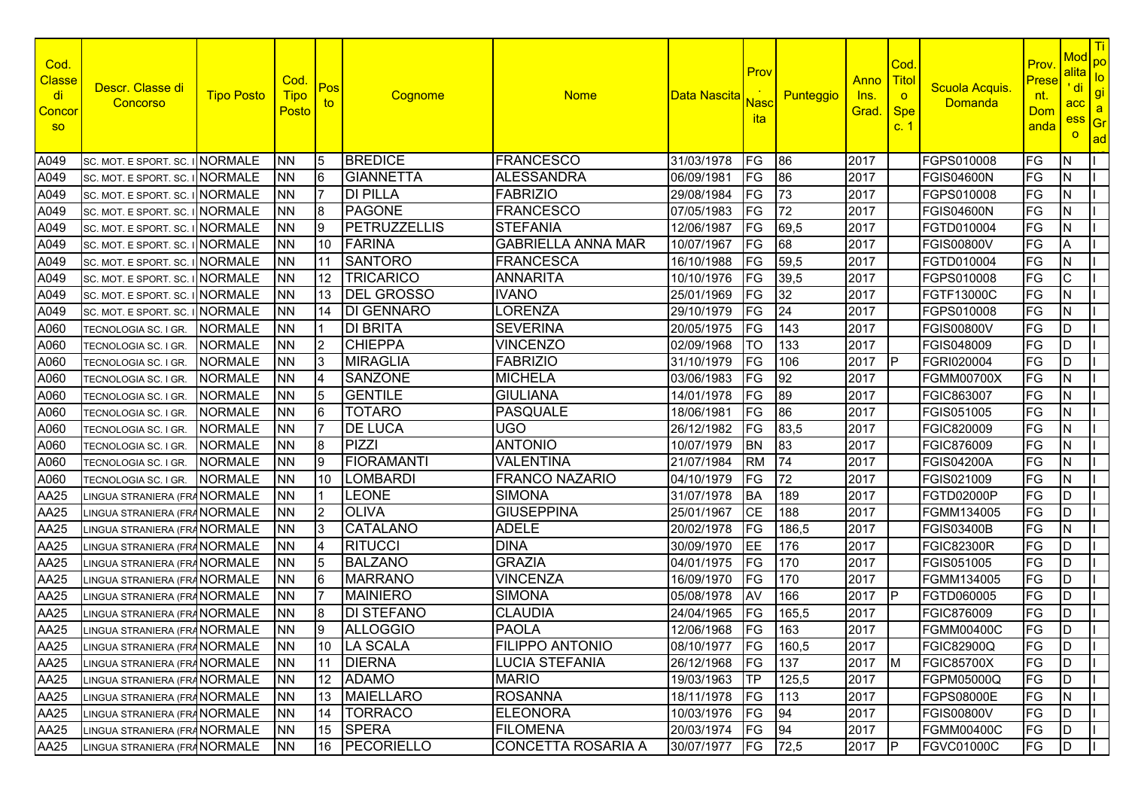| Cod.<br><b>Classe</b><br>di<br><b>Concor</b><br><b>SO</b> | Descr. Classe di<br>Concorso    | <b>Tipo Posto</b> | Cod.<br><b>Tipo</b><br>Posto | Pos<br>to      | Cognome            | <b>Nome</b>               | Data Nascita | Prov<br><mark>Nasc</mark><br>ita | Punteggio | Anno<br><u>Ins.</u><br>Grad. | Cod<br><b>Titol</b><br>$\circ$<br><b>Spe</b><br>c.1 | Scuola Acquis.<br>Domanda | Prov<br>Prese<br>nt.<br><b>Dom</b><br>anda | <b>Mod</b><br>alita<br>' di<br>acc<br>ess<br>$\overline{O}$ | Ti<br>po<br>$\overline{10}$<br>gi<br>$\mathbf{a}$<br>Gr<br>ad |
|-----------------------------------------------------------|---------------------------------|-------------------|------------------------------|----------------|--------------------|---------------------------|--------------|----------------------------------|-----------|------------------------------|-----------------------------------------------------|---------------------------|--------------------------------------------|-------------------------------------------------------------|---------------------------------------------------------------|
| A049                                                      | SC. MOT. E SPORT. SC. I         | <b>NORMALE</b>    | <b>NN</b>                    | 5              | <b>BREDICE</b>     | <b>FRANCESCO</b>          | 31/03/1978   | FG                               | 86        | 2017                         |                                                     | FGPS010008                | FG                                         | IN.                                                         |                                                               |
| A049                                                      | SC. MOT. E SPORT. SC.           | <b>NORMALE</b>    | <b>NN</b>                    | 6              | <b>GIANNETTA</b>   | <b>ALESSANDRA</b>         | 06/09/1981   | FG                               | 86        | 2017                         |                                                     | <b>FGIS04600N</b>         | FG                                         | N                                                           |                                                               |
| A049                                                      | SC. MOT. E SPORT. SC.           | <b>NORMALE</b>    | <b>NN</b>                    |                | <b>DI PILLA</b>    | <b>FABRIZIO</b>           | 29/08/1984   | FG                               | 73        | 2017                         |                                                     | FGPS010008                | <b>FG</b>                                  | N                                                           |                                                               |
| A049                                                      | SC. MOT. E SPORT. SC. I         | <b>NORMALE</b>    | <b>NN</b>                    | 8              | <b>PAGONE</b>      | <b>FRANCESCO</b>          | 07/05/1983   | FG                               | 72        | 2017                         |                                                     | <b>FGIS04600N</b>         | FG                                         | N                                                           |                                                               |
| A049                                                      | SC. MOT. E SPORT. SC.           | <b>NORMALE</b>    | <b>NN</b>                    | 9              | PETRUZZELLIS       | <b>STEFANIA</b>           | 12/06/1987   | FG                               | 69,5      | 2017                         |                                                     | FGTD010004                | FG                                         | $\mathsf{N}$                                                |                                                               |
| A049                                                      | SC. MOT. E SPORT. SC. I NORMALE |                   | <b>NN</b>                    | 10             | FARINA             | <b>GABRIELLA ANNA MAR</b> | 10/07/1967   | FG                               | 68        | 2017                         |                                                     | <b>FGIS00800V</b>         | FG                                         | A                                                           |                                                               |
| A049                                                      | SC. MOT. E SPORT. SC. INORMALE  |                   | <b>NN</b>                    | 11             | <b>SANTORO</b>     | <b>FRANCESCA</b>          | 16/10/1988   | FG                               | 59,5      | 2017                         |                                                     | FGTD010004                | FG                                         | IN.                                                         |                                                               |
| A049                                                      | SC. MOT. E SPORT. SC. I NORMALE |                   | <b>NN</b>                    | 12             | TRICARICO          | <b>ANNARITA</b>           | 10/10/1976   | FG                               | 39,5      | 2017                         |                                                     | FGPS010008                | FG                                         | $\mathsf{C}$                                                |                                                               |
| A049                                                      | SC. MOT. E SPORT. SC. I NORMALE |                   | <b>NN</b>                    | 13             | <b>DEL GROSSO</b>  | <b>IVANO</b>              | 25/01/1969   | FG                               | 32        | 2017                         |                                                     | <b>FGTF13000C</b>         | FG                                         | IN.                                                         |                                                               |
| A049                                                      | SC. MOT. E SPORT. SC. INORMALE  |                   | <b>NN</b>                    | 14             | <b>IDI GENNARO</b> | LORENZA                   | 29/10/1979   | FG                               | 24        | 2017                         |                                                     | FGPS010008                | FG                                         | IN.                                                         |                                                               |
| A060                                                      | TECNOLOGIA SC. I GR.            | <b>NORMALE</b>    | <b>NN</b>                    |                | <b>DI BRITA</b>    | <b>SEVERINA</b>           | 20/05/1975   | FG                               | 143       | 2017                         |                                                     | <b>FGIS00800V</b>         | FG                                         | D                                                           |                                                               |
| A060                                                      | TECNOLOGIA SC. I GR.            | <b>NORMALE</b>    | <b>NN</b>                    | I <sub>2</sub> | <b>CHIEPPA</b>     | <b>VINCENZO</b>           | 02/09/1968   | TO                               | 133       | 2017                         |                                                     | FGIS048009                | FG                                         | D                                                           |                                                               |
| A060                                                      | TECNOLOGIA SC. I GR.            | <b>NORMALE</b>    | <b>NN</b>                    | l3             | MIRAGLIA           | <b>FABRIZIO</b>           | 31/10/1979   | FG                               | 106       | 2017                         | IP                                                  | FGRI020004                | FG                                         | D                                                           |                                                               |
| A060                                                      | TECNOLOGIA SC. I GR.            | <b>NORMALE</b>    | <b>NN</b>                    |                | <b>SANZONE</b>     | <b>MICHELA</b>            | 03/06/1983   | FG                               | 92        | 2017                         |                                                     | <b>FGMM00700X</b>         | FG                                         | $\mathsf{N}$                                                |                                                               |
| A060                                                      | TECNOLOGIA SC. I GR.            | <b>NORMALE</b>    | <b>NN</b>                    | 15             | <b>GENTILE</b>     | <b>GIULIANA</b>           | 14/01/1978   | FG                               | 89        | 2017                         |                                                     | <b>FGIC863007</b>         | FG                                         | N                                                           |                                                               |
| A060                                                      | TECNOLOGIA SC. I GR             | <b>NORMALE</b>    | <b>NN</b>                    | 6              | <b>TOTARO</b>      | PASQUALE                  | 18/06/1981   | FG                               | 86        | 2017                         |                                                     | FGIS051005                | FG                                         | IN.                                                         |                                                               |
| A060                                                      | TECNOLOGIA SC. I GR.            | <b>NORMALE</b>    | <b>NN</b>                    |                | <b>DE LUCA</b>     | <b>UGO</b>                | 26/12/1982   | FG                               | 83,5      | 2017                         |                                                     | FGIC820009                | FG                                         | N                                                           |                                                               |
| A060                                                      | TECNOLOGIA SC. I GR.            | <b>NORMALE</b>    | <b>NN</b>                    | 8              | PIZZI              | <b>ANTONIO</b>            | 10/07/1979   | <b>BN</b>                        | 83        | 2017                         |                                                     | FGIC876009                | FG                                         | N                                                           |                                                               |
| A060                                                      | TECNOLOGIA SC. I GR.            | <b>NORMALE</b>    | <b>NN</b>                    | 9              | FIORAMANTI         | <b>VALENTINA</b>          | 21/07/1984   | <b>RM</b>                        | 74        | 2017                         |                                                     | <b>FGIS04200A</b>         | FG                                         | IN.                                                         |                                                               |
| A060                                                      | TECNOLOGIA SC. I GR.            | <b>NORMALE</b>    | <b>NN</b>                    | 10             | LOMBARDI           | <b>FRANCO NAZARIO</b>     | 04/10/1979   | FG                               | 72        | 2017                         |                                                     | FGIS021009                | FG                                         | N                                                           |                                                               |
| AA25                                                      | LINGUA STRANIERA (FRANORMALE    |                   | <b>NN</b>                    |                | <b>LEONE</b>       | <b>SIMONA</b>             | 31/07/1978   | <b>BA</b>                        | 189       | 2017                         |                                                     | FGTD02000P                | FG                                         | D                                                           |                                                               |
| AA25                                                      | INGUA STRANIERA (FRANORMALE     |                   | <b>NN</b>                    | 2              | <b>OLIVA</b>       | <b>GIUSEPPINA</b>         | 25/01/1967   | <b>CE</b>                        | 188       | 2017                         |                                                     | FGMM134005                | FG                                         | ID                                                          |                                                               |
| AA25                                                      | LINGUA STRANIERA (FRA NORMALE   |                   | <b>NN</b>                    | l3             | <b>CATALANO</b>    | <b>ADELE</b>              | 20/02/1978   | FG                               | 186,5     | 2017                         |                                                     | <b>FGIS03400B</b>         | FG                                         | N                                                           |                                                               |
| AA25                                                      | LINGUA STRANIERA (FRANORMALE    |                   | <b>NN</b>                    | 4              | <b>RITUCCI</b>     | <b>DINA</b>               | 30/09/1970   | EE                               | 176       | 2017                         |                                                     | <b>FGIC82300R</b>         | FG                                         | D                                                           |                                                               |
| AA25                                                      | INGUA STRANIERA (FRANORMALE     |                   | <b>NN</b>                    | 5              | <b>BALZANO</b>     | <b>GRAZIA</b>             | 04/01/1975   | FG                               | 170       | 2017                         |                                                     | FGIS051005                | FG                                         | D                                                           |                                                               |
| AA25                                                      | LINGUA STRANIERA (FRA NORMALE   |                   | <b>NN</b>                    |                | <b>MARRANO</b>     | <b>VINCENZA</b>           | 16/09/1970   | FG                               | 170       | 2017                         |                                                     | FGMM134005                | FG                                         | ID.                                                         |                                                               |
| AA25                                                      | LINGUA STRANIERA (FRA NORMALE   |                   | <b>NN</b>                    |                | <b>MAINIERO</b>    | <b>SIMONA</b>             | 05/08/1978   | AV                               | 166       | 2017                         | IP                                                  | FGTD060005                | FG                                         | ID                                                          |                                                               |
| AA25                                                      | LINGUA STRANIERA (FRA NORMALE   |                   | <b>NN</b>                    |                | IDI STEFANO        | <b>CLAUDIA</b>            | 24/04/1965   | FG                               | 165,5     | 2017                         |                                                     | FGIC876009                | FG                                         | ID                                                          |                                                               |
| AA25                                                      | LINGUA STRANIERA (FRANORMALE    |                   | <b>NN</b>                    | 9              | <b>ALLOGGIO</b>    | <b>PAOLA</b>              | 12/06/1968   | FG                               | 163       | 2017                         |                                                     | <b>FGMM00400C</b>         | FG                                         | ID                                                          |                                                               |
| AA25                                                      | LINGUA STRANIERA (FRA NORMALE   |                   | <b>INN</b>                   |                | 10   LA SCALA      | <b>FILIPPO ANTONIO</b>    | 08/10/1977   | FG                               | 160,5     | 2017                         |                                                     | <b>FGIC82900Q</b>         | FG                                         | $\overline{D}$                                              |                                                               |
| AA25                                                      | LINGUA STRANIERA (FRA NORMALE   |                   | <b>NN</b>                    |                | 11 DIERNA          | <b>LUCIA STEFANIA</b>     | 26/12/1968   | FG                               | 137       | 2017                         | $\mathsf{M}$                                        | <b>FGIC85700X</b>         | FG                                         | ID.                                                         |                                                               |
| AA25                                                      | LINGUA STRANIERA (FRA NORMALE   |                   | <b>NN</b>                    |                | 12 ADAMO           | <b>MARIO</b>              | 19/03/1963   | <b>TP</b>                        | 125,5     | 2017                         |                                                     | FGPM05000Q                | FG                                         | ID.                                                         |                                                               |
| AA25                                                      | LINGUA STRANIERA (FRA NORMALE   |                   | <b>NN</b>                    |                | 13   MAIELLARO     | <b>ROSANNA</b>            | 18/11/1978   | FG                               | 113       | 2017                         |                                                     | <b>FGPS08000E</b>         | FG                                         | IN.                                                         |                                                               |
| AA25                                                      | LINGUA STRANIERA (FRA NORMALE   |                   | <b>NN</b>                    | 14             | <b>TORRACO</b>     | <b>ELEONORA</b>           | 10/03/1976   | FG                               | 94        | 2017                         |                                                     | <b>FGIS00800V</b>         | FG                                         | ID                                                          |                                                               |
| AA25                                                      | LINGUA STRANIERA (FRA NORMALE   |                   | <b>NN</b>                    | 15             | <b>SPERA</b>       | <b>FILOMENA</b>           | 20/03/1974   | FG                               | 94        | 2017                         |                                                     | <b>FGMM00400C</b>         | FG                                         | ID                                                          |                                                               |
| AA25                                                      | LINGUA STRANIERA (FRA NORMALE   |                   | <b>NN</b>                    |                | 16 PECORIELLO      | <b>CONCETTA ROSARIA A</b> | 30/07/1977   | FG                               | 72,5      | 2017                         | P                                                   | <b>FGVC01000C</b>         | FG                                         | ID.                                                         |                                                               |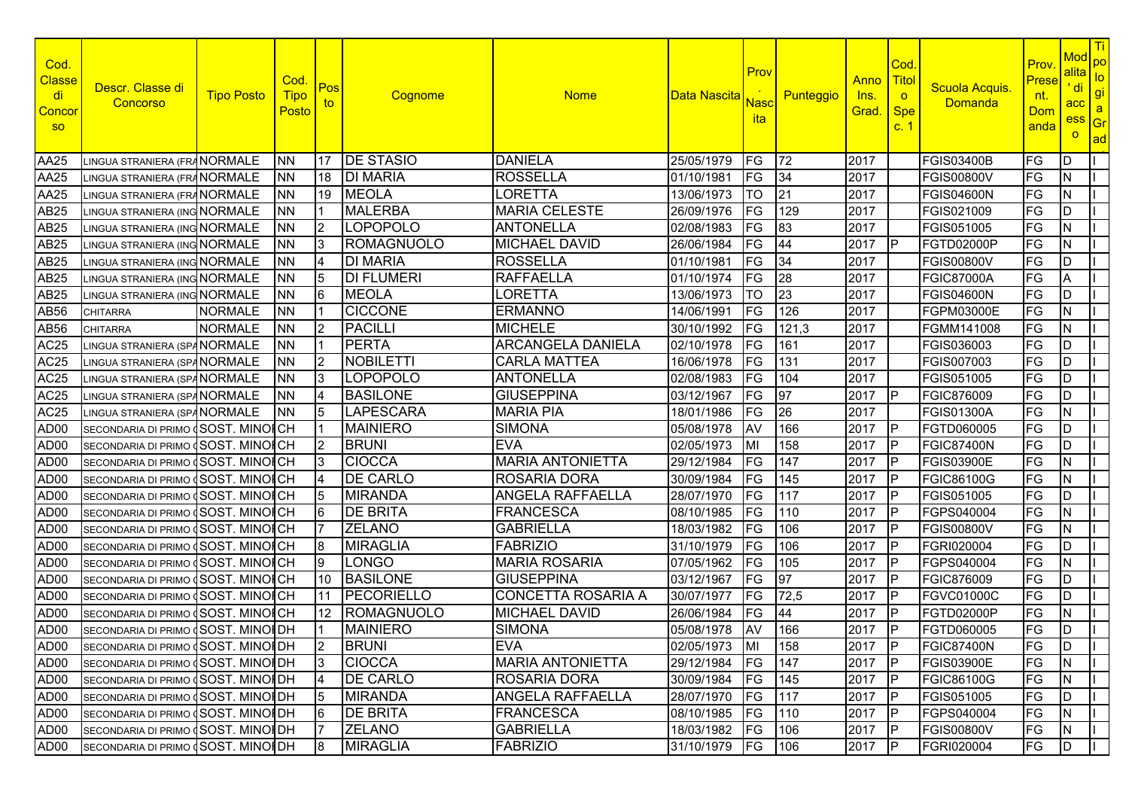| Cod.<br><b>Classe</b><br>di<br><b>Conco</b><br><b>SO</b> | Descr. Classe di<br>Concorso         | <b>Tipo Posto</b>    | Cod.<br><b>Tipo</b><br><u>Posto</u> | Pos<br>to      | Cognome           | <b>Nome</b>               | Data Nascita  | Prov<br>Nasc<br><u>ita</u> | Punteggio | Anno<br><u>Ins.</u><br>Grad. | Cod<br><b>Titol</b><br>$\circ$<br><b>Spe</b><br>c.1 | Scuola Acquis.<br>Domanda | Prov<br>Prese<br>nt.<br>Dom<br>anda | <b>Mod</b><br>alita<br>' di<br>acc<br>ess<br>$\overline{O}$ | $ T_i $<br>po<br>$\overline{10}$<br>gi<br>$\mathbf{a}$<br>Gr<br>ad |
|----------------------------------------------------------|--------------------------------------|----------------------|-------------------------------------|----------------|-------------------|---------------------------|---------------|----------------------------|-----------|------------------------------|-----------------------------------------------------|---------------------------|-------------------------------------|-------------------------------------------------------------|--------------------------------------------------------------------|
| AA25                                                     | LINGUA STRANIERA (FRA NORMALE        |                      | <b>NN</b>                           | 17             | <b>IDE STASIO</b> | <b>DANIELA</b>            | 25/05/1979    | FG                         | 72        | 2017                         |                                                     | <b>FGIS03400B</b>         | FG                                  | ID                                                          |                                                                    |
| AA25                                                     | LINGUA STRANIERA (FRA <b>NORMALE</b> |                      | ΝN                                  | 18             | <b>DI MARIA</b>   | <b>ROSSELLA</b>           | 01/10/1981    | FG                         | 34        | 2017                         |                                                     | <b>FGIS00800V</b>         | <b>FG</b>                           | IN.                                                         |                                                                    |
| AA25                                                     | LINGUA STRANIERA (FRA NORMALE        |                      | <b>NN</b>                           | 19             | <b>MEOLA</b>      | LORETTA                   | 13/06/1973    | ТO                         | 21        | 2017                         |                                                     | <b>FGIS04600N</b>         | <b>FG</b>                           | N                                                           |                                                                    |
| AB25                                                     | LINGUA STRANIERA (ING NORMALE        |                      | <b>NN</b>                           |                | <b>MALERBA</b>    | <b>MARIA CELESTE</b>      | 26/09/1976    | FG                         | 129       | 2017                         |                                                     | FGIS021009                | FG                                  | D                                                           |                                                                    |
| AB25                                                     | LINGUA STRANIERA (ING NORMALE        |                      | <b>NN</b>                           | I <sub>2</sub> | LOPOPOLO          | <b>ANTONELLA</b>          | 02/08/1983    | FG                         | 83        | 2017                         |                                                     | FGIS051005                | FG                                  | N                                                           |                                                                    |
| AB25                                                     | INGUA STRANIERA (ING NORMALE         |                      | <b>NN</b>                           | 3              | ROMAGNUOLO        | <b>MICHAEL DAVID</b>      | 26/06/1984    | FG                         | 44        | 2017                         | IP                                                  | FGTD02000P                | FG                                  | IN.                                                         |                                                                    |
| AB25                                                     | INGUA STRANIERA (ING NORMALE         |                      | <b>NN</b>                           | 14             | <b>DI MARIA</b>   | <b>ROSSELLA</b>           | 01/10/1981    | FG                         | 34        | 2017                         |                                                     | <b>FGIS00800V</b>         | FG                                  | ID                                                          |                                                                    |
| AB25                                                     | LINGUA STRANIERA (ING NORMALE        |                      | <b>NN</b>                           | 15             | <b>DI FLUMERI</b> | <b>RAFFAELLA</b>          | 01/10/1974    | FG                         | 28        | 2017                         |                                                     | <b>FGIC87000A</b>         | FG                                  | A                                                           |                                                                    |
| AB25                                                     | INGUA STRANIERA (ING NORMALE         |                      | <b>NN</b>                           | 6              | <b>MEOLA</b>      | LORETTA                   | 13/06/1973    | TO                         | 23        | 2017                         |                                                     | <b>FGIS04600N</b>         | FG                                  | ID                                                          |                                                                    |
| AB56                                                     | CHITARRA                             | <b>NORMALE</b>       | <b>NN</b>                           |                | <b>CICCONE</b>    | <b>ERMANNO</b>            | 14/06/1991    | FG                         | 126       | 2017                         |                                                     | <b>FGPM03000E</b>         | FG                                  | N                                                           |                                                                    |
| AB56                                                     | <b>CHITARRA</b>                      | <b>NORMALE</b>       | <b>NN</b>                           | I <sub>2</sub> | <b>PACILLI</b>    | MICHELE                   | 30/10/1992    | FG                         | 121,3     | 2017                         |                                                     | FGMM141008                | FG                                  | N                                                           |                                                                    |
| AC <sub>25</sub>                                         | INGUA STRANIERA (SPA                 | <b>NORMALE</b>       | <b>NN</b>                           |                | PERTA             | <b>ARCANGELA DANIELA</b>  | 02/10/1978    | FG                         | 161       | 2017                         |                                                     | FGIS036003                | FG                                  | D                                                           |                                                                    |
| AC <sub>25</sub>                                         | INGUA STRANIERA (SPA                 | <b>NORMALE</b>       | <b>NN</b>                           | $\overline{2}$ | NOBILETTI         | <b>CARLA MATTEA</b>       | 16/06/1978    | FG                         | 131       | 2017                         |                                                     | FGIS007003                | FG                                  | D                                                           |                                                                    |
| AC <sub>25</sub>                                         | LINGUA STRANIERA (SPA NORMALE        |                      | <b>NN</b>                           | l3             | LOPOPOLO          | <b>ANTONELLA</b>          | 02/08/1983    | FG                         | 104       | 2017                         |                                                     | FGIS051005                | FG                                  | ID                                                          |                                                                    |
| AC <sub>25</sub>                                         | LINGUA STRANIERA (SPA NORMALE        |                      | <b>NN</b>                           |                | <b>BASILONE</b>   | <b>GIUSEPPINA</b>         | 03/12/1967    | FG                         | 97        | 2017                         | IP                                                  | FGIC876009                | FG                                  | ID                                                          |                                                                    |
| AC <sub>25</sub>                                         | LINGUA STRANIERA (SPA NORMALE        |                      | <b>NN</b>                           | 15             | LAPESCARA         | <b>MARIA PIA</b>          | 18/01/1986    | FG                         | 26        | 2017                         |                                                     | <b>FGIS01300A</b>         | FG                                  | $\mathsf{N}$                                                |                                                                    |
| AD <sub>00</sub>                                         | SECONDARIA DI PRIMO (                | SOST. MINOICH        |                                     |                | <b>MAINIERO</b>   | <b>SIMONA</b>             | 05/08/1978    | AV                         | 166       | 2017                         | IP                                                  | FGTD060005                | FG                                  | D                                                           |                                                                    |
| AD <sub>00</sub>                                         | SECONDARIA DI PRIMO (                | <b>SOST. MINOFCH</b> |                                     | 2              | <b>BRUNI</b>      | <b>EVA</b>                | 02/05/1973    | MI                         | 158       | 2017                         | IP                                                  | <b>FGIC87400N</b>         | FG                                  | D                                                           |                                                                    |
| AD <sub>00</sub>                                         | SECONDARIA DI PRIMO (                | <b>SOST. MINOFCH</b> |                                     | IЗ             | <b>CIOCCA</b>     | <b>MARIA ANTONIETTA</b>   | 29/12/1984    | FG                         | 147       | 2017                         | IP                                                  | FGIS03900E                | FG                                  | IN.                                                         |                                                                    |
| AD <sub>00</sub>                                         | SECONDARIA DI PRIMO (SOST. MINOFICH  |                      |                                     | 14             | <b>DE CARLO</b>   | <b>ROSARIA DORA</b>       | 30/09/1984    | FG                         | 145       | 2017                         | IP                                                  | <b>FGIC86100G</b>         | FG                                  | N                                                           |                                                                    |
| AD <sub>00</sub>                                         | SECONDARIA DI PRIMO (                | <b>SOST. MINOFCH</b> |                                     | 15             | <b>MIRANDA</b>    | <b>ANGELA RAFFAELLA</b>   | 28/07/1970    | FG                         | 117       | 2017                         | <b>IP</b>                                           | FGIS051005                | FG                                  | ID                                                          |                                                                    |
| AD <sub>00</sub>                                         | SECONDARIA DI PRIMO                  | <b>SOST. MINOFCH</b> |                                     | 16             | <b>DE BRITA</b>   | <b>FRANCESCA</b>          | 08/10/1985    | FG                         | 110       | 2017                         | IP                                                  | FGPS040004                | FG                                  | IN.                                                         |                                                                    |
| AD <sub>00</sub>                                         | SECONDARIA DI PRIMO                  | <b>SOST. MINOFCH</b> |                                     |                | <b>ZELANO</b>     | <b>GABRIELLA</b>          | 18/03/1982    | FG                         | 106       | 2017                         | IP                                                  | <b>FGIS00800V</b>         | <b>FG</b>                           | IΝ                                                          |                                                                    |
| AD <sub>00</sub>                                         | SECONDARIA DI PRIMO                  | SOST. MINOFCH        |                                     | l8             | MIRAGLIA          | <b>FABRIZIO</b>           | 31/10/1979    | FG                         | 106       | 2017                         | IP                                                  | FGRI020004                | FG                                  | D                                                           |                                                                    |
| AD <sub>00</sub>                                         | SECONDARIA DI PRIMO                  | <b>SOST. MINOFCH</b> |                                     | Ι9             | LONGO             | <b>MARIA ROSARIA</b>      | 07/05/1962    | FG                         | 105       | 2017                         | IP                                                  | FGPS040004                | FG                                  | N                                                           |                                                                    |
| AD <sub>00</sub>                                         | SECONDARIA DI PRIMO                  | <b>SOST. MINOFCH</b> |                                     | 10             | <b>BASILONE</b>   | <b>GIUSEPPINA</b>         | 03/12/1967    | FG                         | 97        | 2017                         | IP                                                  | <b>FGIC876009</b>         | FG                                  | D                                                           |                                                                    |
| AD <sub>00</sub>                                         | SECONDARIA DI PRIMO                  | ISOST. MINOFCH       |                                     | 11             | PECORIELLO        | <b>CONCETTA ROSARIA A</b> | 30/07/1977    | FG                         | 72,5      | 2017                         | IP                                                  | <b>FGVC01000C</b>         | FG                                  | ID                                                          |                                                                    |
| AD <sub>00</sub>                                         | SECONDARIA DI PRIMO                  | SOST, MINOICH        |                                     | 12.            | ROMAGNUOLO        | <b>MICHAEL DAVID</b>      | 26/06/1984    | FG                         | 44        | 2017                         | IP                                                  | FGTD02000P                | <b>FG</b>                           | N                                                           |                                                                    |
| AD <sub>00</sub>                                         | SECONDARIA DI PRIMO                  | <b>SOST. MINOFDH</b> |                                     |                | <b>MAINIERO</b>   | <b>SIMONA</b>             | 05/08/1978    | AV                         | 166       | 2017                         | IP                                                  | FGTD060005                | FG                                  | D                                                           |                                                                    |
| AD00                                                     | SECONDARIA DI PRIMO (SOST. MINOI DH  |                      |                                     |                | <b>BRUNI</b>      | <b>EVA</b>                | 02/05/1973 MI |                            | 158       | 2017 P                       |                                                     | <b>FGIC87400N</b>         | IFG                                 | ID                                                          |                                                                    |
| AD00                                                     | SECONDARIA DI PRIMO (SOST. MINOFDH   |                      |                                     | l3             | <b>CIOCCA</b>     | <b>MARIA ANTONIETTA</b>   | 29/12/1984    | FG                         | 147       | 2017                         | P                                                   | <b>FGIS03900E</b>         | FG                                  | IN.                                                         |                                                                    |
| AD00                                                     | SECONDARIA DI PRIMO (SOST. MINOFDH   |                      |                                     | 14             | <b>DE CARLO</b>   | <b>ROSARIA DORA</b>       | 30/09/1984    | FG                         | 145       | 2017 P                       |                                                     | <b>FGIC86100G</b>         | FG                                  | <b>N</b>                                                    |                                                                    |
| AD00                                                     | SECONDARIA DI PRIMO (SOST. MINOI DH  |                      |                                     | 15             | <b>MIRANDA</b>    | <b>ANGELA RAFFAELLA</b>   | 28/07/1970    | FG                         | 117       | 2017 P                       |                                                     | FGIS051005                | FG                                  | ID.                                                         |                                                                    |
| AD00                                                     | SECONDARIA DI PRIMO (SOST. MINOFDH   |                      |                                     | I6             | <b>DE BRITA</b>   | <b>FRANCESCA</b>          | 08/10/1985    | FG                         | 110       | 2017                         | P                                                   | FGPS040004                | FG                                  | IN.                                                         |                                                                    |
| AD00                                                     | SECONDARIA DI PRIMO (SOST. MINOIDH   |                      |                                     |                | <b>ZELANO</b>     | <b>GABRIELLA</b>          | 18/03/1982    | FG                         | 106       | 2017                         | P                                                   | <b>FGIS00800V</b>         | FG                                  | N.                                                          |                                                                    |
| AD00                                                     | SECONDARIA DI PRIMO (SOST. MINOFDH   |                      |                                     | l8             | <b>MIRAGLIA</b>   | <b>FABRIZIO</b>           | 31/10/1979    | FG                         | 106       | 2017                         | P                                                   | FGRI020004                | FG                                  | ID.                                                         |                                                                    |